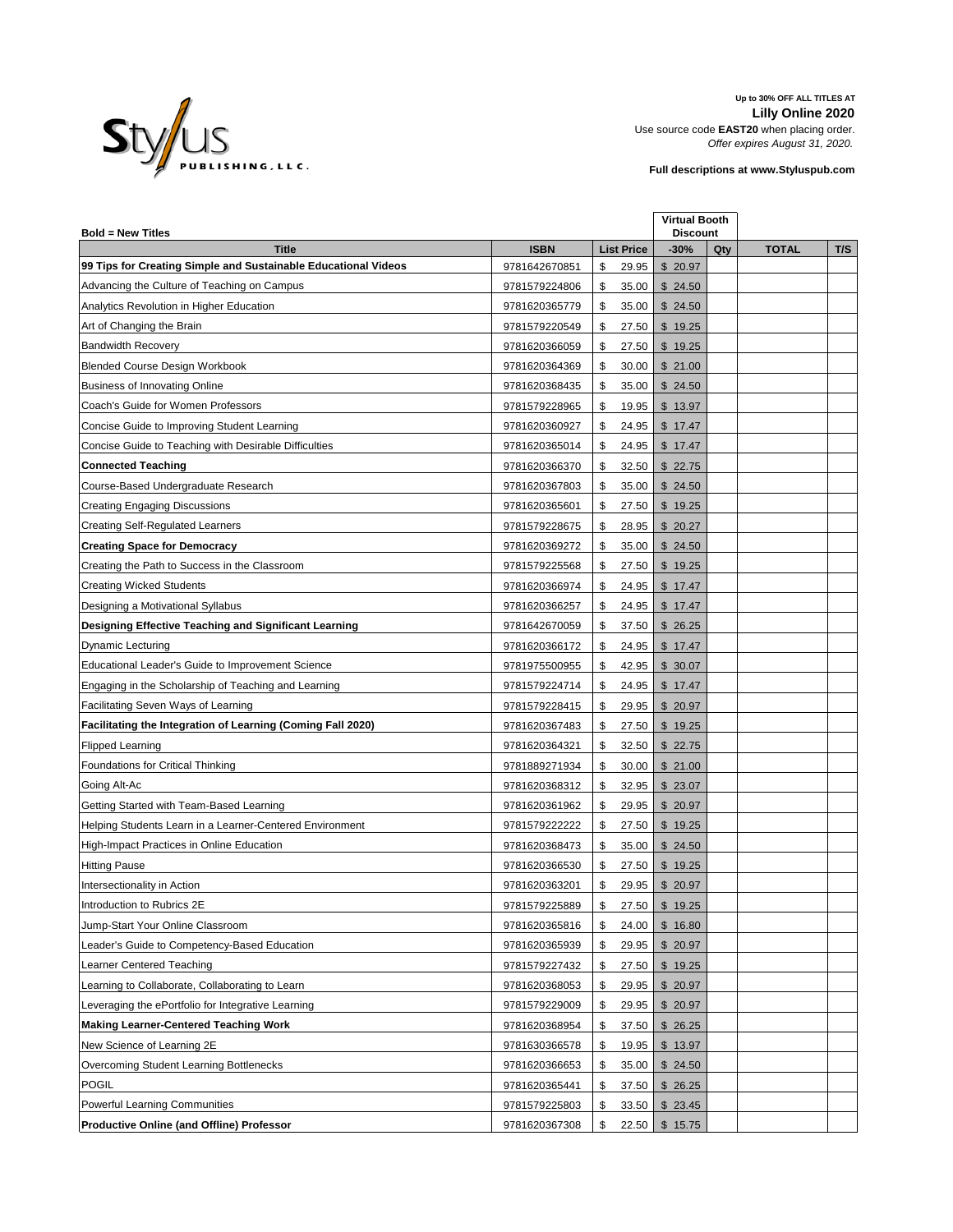

**Up to 30% OFF ALL TITLES AT Lilly Online 2020** Use source code **EAST20** when placing order. *Offer expires August 31, 2020.*

**Full descriptions at www.Styluspub.com**

| <b>Bold = New Titles</b>                                       |               |                   | <b>Virtual Booth</b><br><b>Discount</b> |     |              |     |
|----------------------------------------------------------------|---------------|-------------------|-----------------------------------------|-----|--------------|-----|
| <b>Title</b>                                                   | <b>ISBN</b>   | <b>List Price</b> | $-30%$                                  | Qty | <b>TOTAL</b> | T/S |
| 99 Tips for Creating Simple and Sustainable Educational Videos | 9781642670851 | 29.95<br>\$       | \$20.97                                 |     |              |     |
| Advancing the Culture of Teaching on Campus                    | 9781579224806 | 35.00<br>\$       | \$24.50                                 |     |              |     |
| Analytics Revolution in Higher Education                       | 9781620365779 | \$<br>35.00       | \$24.50                                 |     |              |     |
| Art of Changing the Brain                                      | 9781579220549 | \$<br>27.50       | \$19.25                                 |     |              |     |
| <b>Bandwidth Recovery</b>                                      | 9781620366059 | \$<br>27.50       | \$19.25                                 |     |              |     |
| <b>Blended Course Design Workbook</b>                          | 9781620364369 | \$<br>30.00       | \$21.00                                 |     |              |     |
| <b>Business of Innovating Online</b>                           | 9781620368435 | \$<br>35.00       | \$24.50                                 |     |              |     |
| Coach's Guide for Women Professors                             | 9781579228965 | \$<br>19.95       | \$13.97                                 |     |              |     |
| Concise Guide to Improving Student Learning                    | 9781620360927 | \$<br>24.95       | \$17.47                                 |     |              |     |
| Concise Guide to Teaching with Desirable Difficulties          | 9781620365014 | \$<br>24.95       | \$17.47                                 |     |              |     |
| <b>Connected Teaching</b>                                      | 9781620366370 | \$<br>32.50       | \$22.75                                 |     |              |     |
| Course-Based Undergraduate Research                            | 9781620367803 | \$<br>35.00       | \$24.50                                 |     |              |     |
| Creating Engaging Discussions                                  | 9781620365601 | \$<br>27.50       | \$19.25                                 |     |              |     |
| <b>Creating Self-Regulated Learners</b>                        | 9781579228675 | \$<br>28.95       | \$20.27                                 |     |              |     |
| <b>Creating Space for Democracy</b>                            | 9781620369272 | \$<br>35.00       | \$24.50                                 |     |              |     |
| Creating the Path to Success in the Classroom                  | 9781579225568 | \$<br>27.50       | \$19.25                                 |     |              |     |
| <b>Creating Wicked Students</b>                                | 9781620366974 | \$<br>24.95       | \$17.47                                 |     |              |     |
| Designing a Motivational Syllabus                              | 9781620366257 | \$<br>24.95       | \$17.47                                 |     |              |     |
| Designing Effective Teaching and Significant Learning          | 9781642670059 | \$<br>37.50       | \$26.25                                 |     |              |     |
| <b>Dynamic Lecturing</b>                                       | 9781620366172 | \$<br>24.95       | \$17.47                                 |     |              |     |
| Educational Leader's Guide to Improvement Science              | 9781975500955 | \$<br>42.95       | \$30.07                                 |     |              |     |
| Engaging in the Scholarship of Teaching and Learning           | 9781579224714 | \$<br>24.95       | \$17.47                                 |     |              |     |
| Facilitating Seven Ways of Learning                            | 9781579228415 | 29.95<br>\$       | \$20.97                                 |     |              |     |
| Facilitating the Integration of Learning (Coming Fall 2020)    | 9781620367483 | \$<br>27.50       | \$19.25                                 |     |              |     |
| <b>Flipped Learning</b>                                        | 9781620364321 | \$<br>32.50       | \$22.75                                 |     |              |     |
| Foundations for Critical Thinking                              | 9781889271934 | \$<br>30.00       | \$21.00                                 |     |              |     |
| Going Alt-Ac                                                   | 9781620368312 | \$<br>32.95       | \$23.07                                 |     |              |     |
| Getting Started with Team-Based Learning                       | 9781620361962 | \$<br>29.95       | \$20.97                                 |     |              |     |
| Helping Students Learn in a Learner-Centered Environment       | 9781579222222 | \$<br>27.50       | \$19.25                                 |     |              |     |
| High-Impact Practices in Online Education                      | 9781620368473 | \$<br>35.00       | \$24.50                                 |     |              |     |
| <b>Hitting Pause</b>                                           | 9781620366530 | \$<br>27.50       | \$19.25                                 |     |              |     |
| Intersectionality in Action                                    | 9781620363201 | \$<br>29.95       | \$20.97                                 |     |              |     |
| Introduction to Rubrics 2E                                     | 9781579225889 | \$<br>27.50       | \$19.25                                 |     |              |     |
| Jump-Start Your Online Classroom                               | 9781620365816 | \$<br>24.00       | \$16.80                                 |     |              |     |
| Leader's Guide to Competency-Based Education                   | 9781620365939 | \$<br>29.95       | \$20.97                                 |     |              |     |
| Learner Centered Teaching                                      | 9781579227432 | \$<br>27.50       | \$19.25                                 |     |              |     |
| Learning to Collaborate, Collaborating to Learn                | 9781620368053 | \$<br>29.95       | \$20.97                                 |     |              |     |
| Leveraging the ePortfolio for Integrative Learning             | 9781579229009 | \$<br>29.95       | \$20.97                                 |     |              |     |
| <b>Making Learner-Centered Teaching Work</b>                   | 9781620368954 | \$<br>37.50       | \$26.25                                 |     |              |     |
| New Science of Learning 2E                                     | 9781630366578 | \$<br>19.95       | \$13.97                                 |     |              |     |
| Overcoming Student Learning Bottlenecks                        | 9781620366653 | \$<br>35.00       | \$24.50                                 |     |              |     |
| POGIL                                                          | 9781620365441 | \$<br>37.50       | \$26.25                                 |     |              |     |
| Powerful Learning Communities                                  | 9781579225803 | \$<br>33.50       | \$23.45                                 |     |              |     |
| <b>Productive Online (and Offline) Professor</b>               | 9781620367308 | \$<br>22.50       | \$15.75                                 |     |              |     |